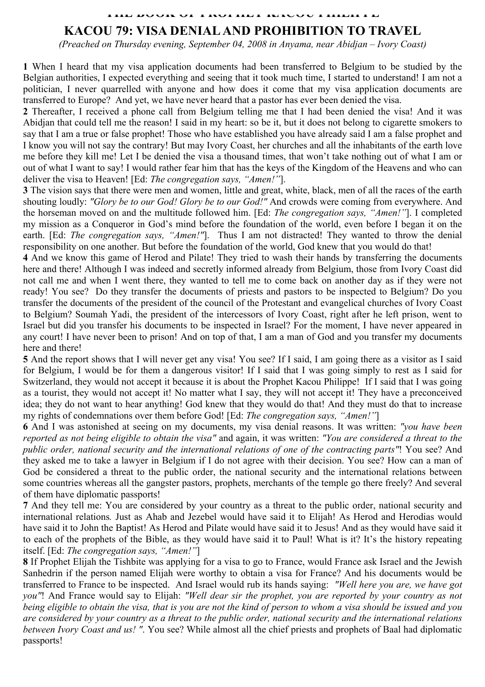## **THE BOOK OF PROPHET KACOU PHILIPPE**

## **KACOU 79: VISA DENIAL AND PROHIBITION TO TRAVEL**

*(Preached on Thursday evening, September 04, 2008 in Anyama, near Abidjan – Ivory Coast)* 

**1** When I heard that my visa application documents had been transferred to Belgium to be studied by the Belgian authorities, I expected everything and seeing that it took much time, I started to understand! I am not a politician, I never quarrelled with anyone and how does it come that my visa application documents are transferred to Europe? And yet, we have never heard that a pastor has ever been denied the visa.

**2** Thereafter, I received a phone call from Belgium telling me that I had been denied the visa! And it was Abidjan that could tell me the reason! I said in my heart: so be it, but it does not belong to cigarette smokers to say that I am a true or false prophet! Those who have established you have already said I am a false prophet and I know you will not say the contrary! But may Ivory Coast, her churches and all the inhabitants of the earth love me before they kill me! Let I be denied the visa a thousand times, that won't take nothing out of what I am or out of what I want to say! I would rather fear him that has the keys of the Kingdom of the Heavens and who can deliver the visa to Heaven! [Ed: *The congregation says, "Amen!"*].

**3** The vision says that there were men and women, little and great, white, black, men of all the races of the earth shouting loudly: *"Glory be to our God! Glory be to our God!"* And crowds were coming from everywhere. And the horseman moved on and the multitude followed him. [Ed: *The congregation says, "Amen!"*]. I completed my mission as a Conqueror in God's mind before the foundation of the world, even before I began it on the earth. [Ed: *The congregation says, "Amen!"*]. Thus I am not distracted! They wanted to throw the denial responsibility on one another. But before the foundation of the world, God knew that you would do that!

**4** And we know this game of Herod and Pilate! They tried to wash their hands by transferring the documents here and there! Although I was indeed and secretly informed already from Belgium, those from Ivory Coast did not call me and when I went there, they wanted to tell me to come back on another day as if they were not ready! You see? Do they transfer the documents of priests and pastors to be inspected to Belgium? Do you transfer the documents of the president of the council of the Protestant and evangelical churches of Ivory Coast to Belgium? Soumah Yadi, the president of the intercessors of Ivory Coast, right after he left prison, went to Israel but did you transfer his documents to be inspected in Israel? For the moment, I have never appeared in any court! I have never been to prison! And on top of that, I am a man of God and you transfer my documents here and there!

**5** And the report shows that I will never get any visa! You see? If I said, I am going there as a visitor as I said for Belgium, I would be for them a dangerous visitor! If I said that I was going simply to rest as I said for Switzerland, they would not accept it because it is about the Prophet Kacou Philippe! If I said that I was going as a tourist, they would not accept it! No matter what I say, they will not accept it! They have a preconceived idea; they do not want to hear anything! God knew that they would do that! And they must do that to increase my rights of condemnations over them before God! [Ed: *The congregation says, "Amen!"*]

**6** And I was astonished at seeing on my documents, my visa denial reasons. It was written: *"you have been reported as not being eligible to obtain the visa"* and again, it was written: *"You are considered a threat to the public order, national security and the international relations of one of the contracting parts"*! You see? And they asked me to take a lawyer in Belgium if I do not agree with their decision. You see? How can a man of God be considered a threat to the public order, the national security and the international relations between some countries whereas all the gangster pastors, prophets, merchants of the temple go there freely? And several of them have diplomatic passports!

**7** And they tell me: You are considered by your country as a threat to the public order, national security and international relations*.* Just as Ahab and Jezebel would have said it to Elijah! As Herod and Herodias would have said it to John the Baptist! As Herod and Pilate would have said it to Jesus! And as they would have said it to each of the prophets of the Bible, as they would have said it to Paul! What is it? It's the history repeating itself. [Ed: *The congregation says, "Amen!"*]

**8** If Prophet Elijah the Tishbite was applying for a visa to go to France, would France ask Israel and the Jewish Sanhedrin if the person named Elijah were worthy to obtain a visa for France? And his documents would be transferred to France to be inspected. And Israel would rub its hands saying: *"Well here you are, we have got you"*! And France would say to Elijah: *"Well dear sir the prophet, you are reported by your country as not being eligible to obtain the visa, that is you are not the kind of person to whom a visa should be issued and you are considered by your country as a threat to the public order, national security and the international relations between Ivory Coast and us! "*. You see? While almost all the chief priests and prophets of Baal had diplomatic passports!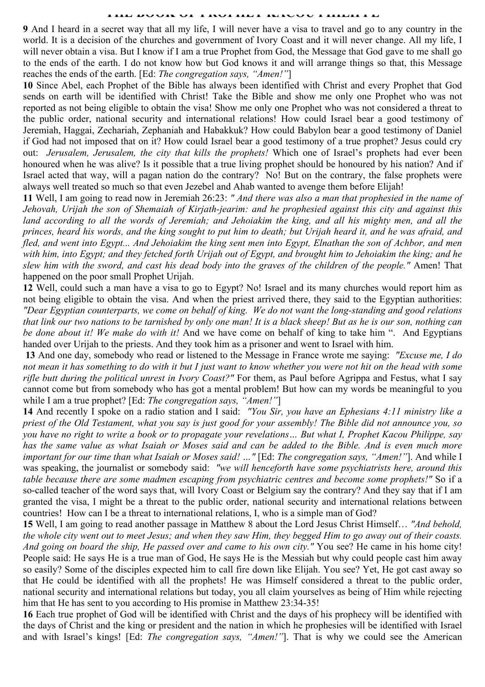## THE BOOK OF PASSES IN THE BOOK OF PHILIPPE

**9** And I heard in a secret way that all my life, I will never have a visa to travel and go to any country in the world. It is a decision of the churches and government of Ivory Coast and it will never change. All my life, I will never obtain a visa. But I know if I am a true Prophet from God, the Message that God gave to me shall go to the ends of the earth. I do not know how but God knows it and will arrange things so that, this Message reaches the ends of the earth. [Ed: *The congregation says, "Amen!"*]

**10** Since Abel, each Prophet of the Bible has always been identified with Christ and every Prophet that God sends on earth will be identified with Christ! Take the Bible and show me only one Prophet who was not reported as not being eligible to obtain the visa! Show me only one Prophet who was not considered a threat to the public order, national security and international relations! How could Israel bear a good testimony of Jeremiah, Haggai, Zechariah, Zephaniah and Habakkuk? How could Babylon bear a good testimony of Daniel if God had not imposed that on it? How could Israel bear a good testimony of a true prophet? Jesus could cry out: *Jerusalem, Jerusalem, the city that kills the prophets!* Which one of Israel's prophets had ever been honoured when he was alive? Is it possible that a true living prophet should be honoured by his nation? And if Israel acted that way, will a pagan nation do the contrary? No! But on the contrary, the false prophets were always well treated so much so that even Jezebel and Ahab wanted to avenge them before Elijah!

**11** Well, I am going to read now in Jeremiah 26:23: *" And there was also a man that prophesied in the name of Jehovah, Urijah the son of Shemaiah of Kirjath-jearim: and he prophesied against this city and against this land according to all the words of Jeremiah; and Jehoiakim the king, and all his mighty men, and all the princes, heard his words, and the king sought to put him to death; but Urijah heard it, and he was afraid, and fled, and went into Egypt... And Jehoiakim the king sent men into Egypt, Elnathan the son of Achbor, and men with him, into Egypt; and they fetched forth Urijah out of Egypt, and brought him to Jehoiakim the king; and he slew him with the sword, and cast his dead body into the graves of the children of the people."* Amen! That happened on the poor small Prophet Urijah.

**12** Well, could such a man have a visa to go to Egypt? No! Israel and its many churches would report him as not being eligible to obtain the visa. And when the priest arrived there, they said to the Egyptian authorities: *"Dear Egyptian counterparts, we come on behalf of king. We do not want the long-standing and good relations that link our two nations to be tarnished by only one man! It is a black sheep! But as he is our son, nothing can be done about it! We make do with it!* And we have come on behalf of king to take him ". And Egyptians handed over Urijah to the priests. And they took him as a prisoner and went to Israel with him.

**13** And one day, somebody who read or listened to the Message in France wrote me saying: *"Excuse me, I do not mean it has something to do with it but I just want to know whether you were not hit on the head with some rifle butt during the political unrest in Ivory Coast?"* For them, as Paul before Agrippa and Festus, what I say cannot come but from somebody who has got a mental problem! But how can my words be meaningful to you while I am a true prophet? [Ed: *The congregation says, "Amen!"*]

**14** And recently I spoke on a radio station and I said: *"You Sir, you have an Ephesians 4:11 ministry like a priest of the Old Testament, what you say is just good for your assembly! The Bible did not announce you, so you have no right to write a book or to propagate your revelations… But what I, Prophet Kacou Philippe, say has the same value as what Isaiah or Moses said and can be added to the Bible. And is even much more important for our time than what Isaiah or Moses said! …"* [Ed: *The congregation says, "Amen!"*]. And while I was speaking, the journalist or somebody said: *"we will henceforth have some psychiatrists here, around this table because there are some madmen escaping from psychiatric centres and become some prophets!"* So if a so-called teacher of the word says that, will Ivory Coast or Belgium say the contrary? And they say that if I am granted the visa, I might be a threat to the public order, national security and international relations between countries! How can I be a threat to international relations, I, who is a simple man of God?

**15** Well, I am going to read another passage in Matthew 8 about the Lord Jesus Christ Himself… *"And behold, the whole city went out to meet Jesus; and when they saw Him, they begged Him to go away out of their coasts. And going on board the ship, He passed over and came to his own city."* You see? He came in his home city! People said: He says He is a true man of God, He says He is the Messiah but why could people cast him away so easily? Some of the disciples expected him to call fire down like Elijah. You see? Yet, He got cast away so that He could be identified with all the prophets! He was Himself considered a threat to the public order, national security and international relations but today, you all claim yourselves as being of Him while rejecting him that He has sent to you according to His promise in Matthew 23:34-35!

**16** Each true prophet of God will be identified with Christ and the days of his prophecy will be identified with the days of Christ and the king or president and the nation in which he prophesies will be identified with Israel and with Israel's kings! [Ed: *The congregation says, "Amen!"*]. That is why we could see the American